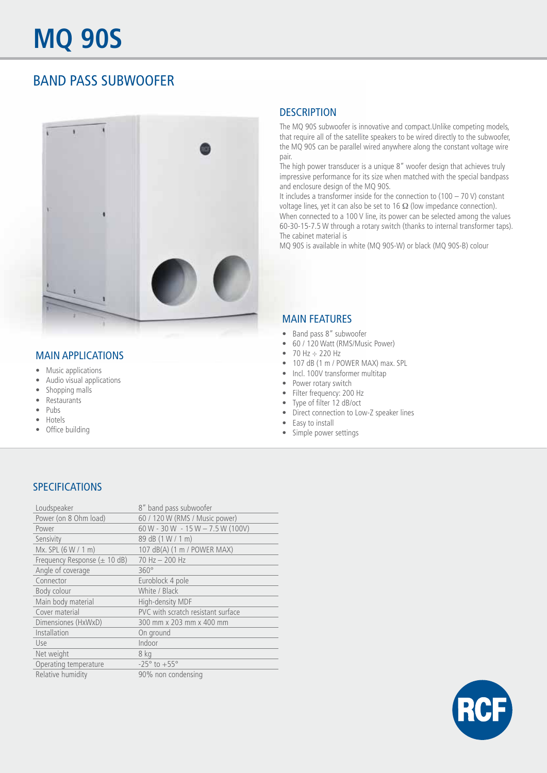## BAND PASS SUBWOOFER



#### MAIN APPLICATIONS

- Music applications
- Audio visual applications
- Shopping malls
- Restaurants
- Pubs
- Hotels
- Office building

#### **DESCRIPTION**

The MQ 90S subwoofer is innovative and compact.Unlike competing models, that require all of the satellite speakers to be wired directly to the subwoofer, the MQ 90S can be parallel wired anywhere along the constant voltage wire pair.

The high power transducer is a unique 8" woofer design that achieves truly impressive performance for its size when matched with the special bandpass and enclosure design of the MQ 90S.

It includes a transformer inside for the connection to (100 – 70 V) constant voltage lines, yet it can also be set to 16  $\Omega$  (low impedance connection). When connected to a 100 V line, its power can be selected among the values 60-30-15-7.5 W through a rotary switch (thanks to internal transformer taps). The cabinet material is

MQ 90S is available in white (MQ 90S-W) or black (MQ 90S-B) colour

#### MAIN FEATURES

- Band pass 8" subwoofer
- 60 / 120 Watt (RMS/Music Power)
- 70 Hz ÷ 220 Hz
- 107 dB (1 m / POWER MAX) max. SPL
- Incl. 100V transformer multitap
- Power rotary switch
- Filter frequency: 200 Hz
- Type of filter 12 dB/oct
- Direct connection to Low-Z speaker lines
- Easy to install
- Simple power settings

#### SPECIFICATIONS

| Loudspeaker                       | 8" band pass subwoofer              |
|-----------------------------------|-------------------------------------|
| Power (on 8 Ohm load)             | 60 / 120 W (RMS / Music power)      |
| Power                             | $60 W - 30 W - 15 W - 7.5 W (100V)$ |
| Sensivity                         | 89 dB (1 W / 1 m)                   |
| Mx. SPL (6 W / 1 m)               | 107 dB(A) (1 m / POWER MAX)         |
| Frequency Response ( $\pm$ 10 dB) | $70$ Hz $-$ 200 Hz                  |
| Angle of coverage                 | $360^\circ$                         |
| Connector                         | Euroblock 4 pole                    |
| Body colour                       | White / Black                       |
| Main body material                | High-density MDF                    |
| Cover material                    | PVC with scratch resistant surface  |
| Dimensiones (HxWxD)               | 300 mm x 203 mm x 400 mm            |
| Installation                      | On ground                           |
| Use                               | Indoor                              |
| Net weight                        | 8 kg                                |
| Operating temperature             | $-25^{\circ}$ to $+55^{\circ}$      |
| Relative humidity                 | 90% non condensing                  |

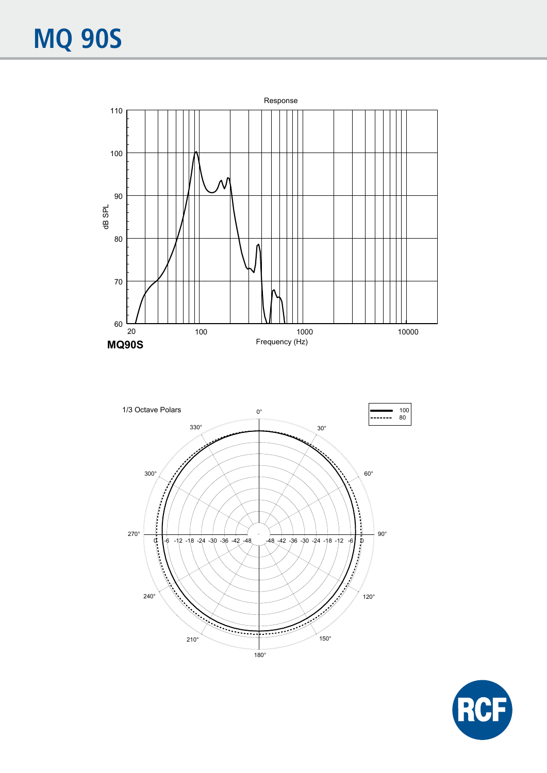